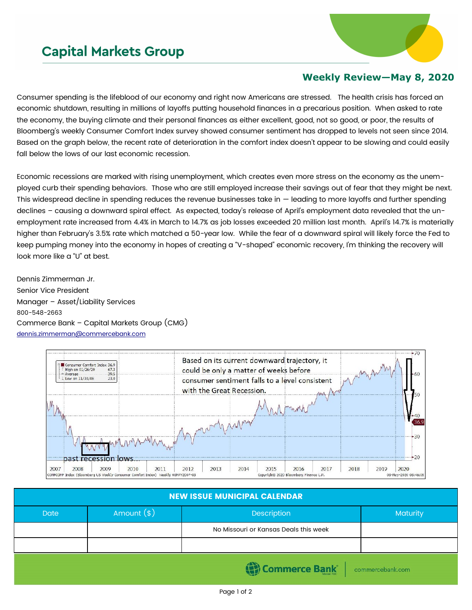## **Capital Markets Group**



## **Weekly Review—May 8, 2020**

Consumer spending is the lifeblood of our economy and right now Americans are stressed. The health crisis has forced an economic shutdown, resulting in millions of layoffs putting household finances in a precarious position. When asked to rate the economy, the buying climate and their personal finances as either excellent, good, not so good, or poor, the results of Bloomberg's weekly Consumer Comfort Index survey showed consumer sentiment has dropped to levels not seen since 2014. Based on the graph below, the recent rate of deterioration in the comfort index doesn't appear to be slowing and could easily fall below the lows of our last economic recession.

Economic recessions are marked with rising unemployment, which creates even more stress on the economy as the unemployed curb their spending behaviors. Those who are still employed increase their savings out of fear that they might be next. This widespread decline in spending reduces the revenue businesses take in — leading to more layoffs and further spending declines – causing a downward spiral effect. As expected, today's release of April's employment data revealed that the unemployment rate increased from 4.4% in March to 14.7% as job losses exceeded 20 million last month. April's 14.7% is materially higher than February's 3.5% rate which matched a 50-year low. While the fear of a downward spiral will likely force the Fed to keep pumping money into the economy in hopes of creating a "V-shaped" economic recovery, I'm thinking the recovery will look more like a "U" at best.

Dennis Zimmerman Jr. Senior Vice President Manager – Asset/Liability Services 800-548-2663 Commerce Bank – Capital Markets Group (CMG) [dennis.zimmerman@commercebank.com](mailto:Dennis.Zimmerman@commercebank.com)



| <b>NEW ISSUE MUNICIPAL CALENDAR</b> |              |                                       |          |  |  |  |
|-------------------------------------|--------------|---------------------------------------|----------|--|--|--|
| <b>Date</b>                         | Amount $(*)$ | Description                           | Maturity |  |  |  |
|                                     |              | No Missouri or Kansas Deals this week |          |  |  |  |
|                                     |              |                                       |          |  |  |  |
|                                     |              |                                       |          |  |  |  |

Commerce Bank

commercebank.com